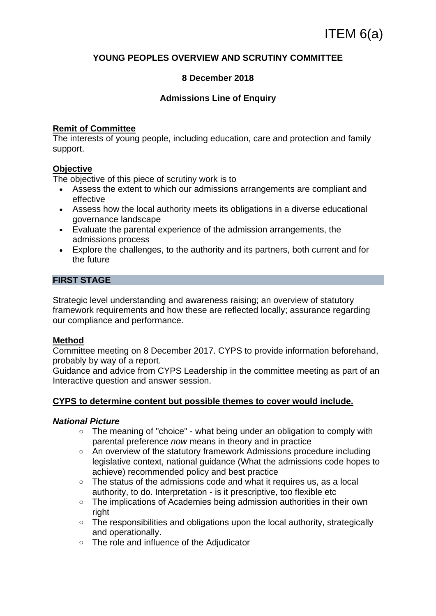## **YOUNG PEOPLES OVERVIEW AND SCRUTINY COMMITTEE**

### **8 December 2018**

### **Admissions Line of Enquiry**

### **Remit of Committee**

The interests of young people, including education, care and protection and family support.

## **Objective**

The objective of this piece of scrutiny work is to

- Assess the extent to which our admissions arrangements are compliant and effective
- Assess how the local authority meets its obligations in a diverse educational governance landscape
- Evaluate the parental experience of the admission arrangements, the admissions process
- Explore the challenges, to the authority and its partners, both current and for the future

### **FIRST STAGE**

Strategic level understanding and awareness raising; an overview of statutory framework requirements and how these are reflected locally; assurance regarding our compliance and performance.

### **Method**

Committee meeting on 8 December 2017. CYPS to provide information beforehand, probably by way of a report.

Guidance and advice from CYPS Leadership in the committee meeting as part of an Interactive question and answer session.

### **CYPS to determine content but possible themes to cover would include.**

### *National Picture*

- o The meaning of "choice" what being under an obligation to comply with parental preference *now* means in theory and in practice
- o An overview of the statutory framework Admissions procedure including legislative context, national guidance (What the admissions code hopes to achieve) recommended policy and best practice
- o The status of the admissions code and what it requires us, as a local authority, to do. Interpretation - is it prescriptive, too flexible etc
- o The implications of Academies being admission authorities in their own right
- o The responsibilities and obligations upon the local authority, strategically and operationally.
- o The role and influence of the Adjudicator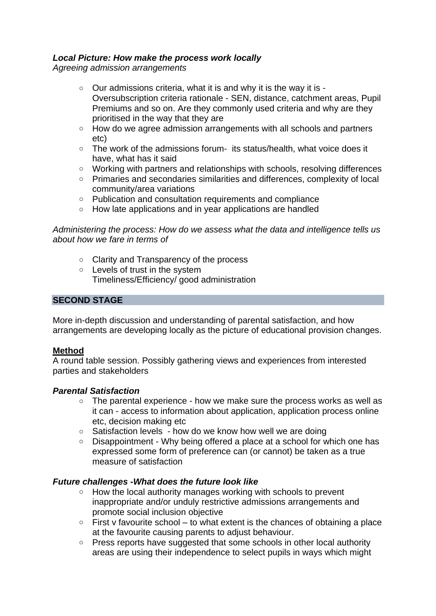## *Local Picture: How make the process work locally*

*Agreeing admission arrangements*

- $\circ$  Our admissions criteria, what it is and why it is the way it is -Oversubscription criteria rationale - SEN, distance, catchment areas, Pupil Premiums and so on. Are they commonly used criteria and why are they prioritised in the way that they are
- o How do we agree admission arrangements with all schools and partners etc)
- o The work of the admissions forum- its status/health, what voice does it have, what has it said
- o Working with partners and relationships with schools, resolving differences
- o Primaries and secondaries similarities and differences, complexity of local community/area variations
- o Publication and consultation requirements and compliance
- o How late applications and in year applications are handled

*Administering the process: How do we assess what the data and intelligence tells us about how we fare in terms of*

- o Clarity and Transparency of the process
- o Levels of trust in the system Timeliness/Efficiency/ good administration

## **SECOND STAGE**

More in-depth discussion and understanding of parental satisfaction, and how arrangements are developing locally as the picture of educational provision changes.

## **Method**

A round table session. Possibly gathering views and experiences from interested parties and stakeholders

## *Parental Satisfaction*

- $\circ$  The parental experience how we make sure the process works as well as it can - access to information about application, application process online etc, decision making etc
- $\circ$  Satisfaction levels how do we know how well we are doing
- o Disappointment Why being offered a place at a school for which one has expressed some form of preference can (or cannot) be taken as a true measure of satisfaction

# *Future challenges -What does the future look like*

- o How the local authority manages working with schools to prevent inappropriate and/or unduly restrictive admissions arrangements and promote social inclusion objective
- $\circ$  First v favourite school to what extent is the chances of obtaining a place at the favourite causing parents to adjust behaviour.
- o Press reports have suggested that some schools in other local authority areas are using their independence to select pupils in ways which might